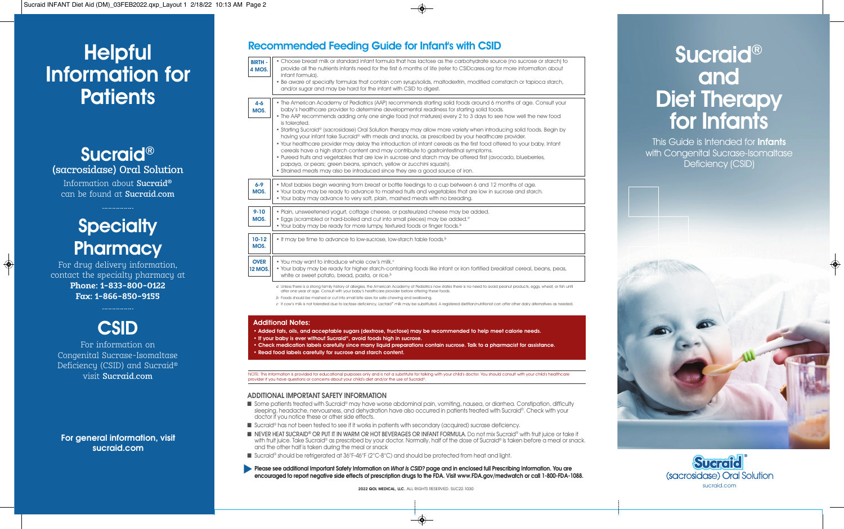# **Helpful** Information for **Patients**

Sucraid® (sacrosidase) Oral Solution Information about Sucraid® can be found at Sucraid.com

# **Specialty Pharmacy**

For drug delivery information, contact the specialty pharmacy at **Phone: 1-833-800-0122 Fax: 1-866-850-9155** 



Congenital Sucrase-Isomaltase Deficiency (CSID) and Sucraid® visit Sucraid.com

**For general information, visit sucraid.com**

| <b>Recommended Feeding Guide for Infant's with CSID</b> |  |  |  |  |
|---------------------------------------------------------|--|--|--|--|
|---------------------------------------------------------|--|--|--|--|

| <b>BIRTH -</b><br>4 MOS.      | • Choose breast milk or standard infant formula that has lactose as the carbohydrate source (no sucrose or starch) to<br>provide all the nutrients infants need for the first 6 months of life (refer to CSIDcares.org for more information about<br>infant formula).                                                                                                                                                                                                                                                                                                                                                                                                                                                                                                                                                                                                                                                                                                                                                                                                    |
|-------------------------------|--------------------------------------------------------------------------------------------------------------------------------------------------------------------------------------------------------------------------------------------------------------------------------------------------------------------------------------------------------------------------------------------------------------------------------------------------------------------------------------------------------------------------------------------------------------------------------------------------------------------------------------------------------------------------------------------------------------------------------------------------------------------------------------------------------------------------------------------------------------------------------------------------------------------------------------------------------------------------------------------------------------------------------------------------------------------------|
|                               | . Be aware of specialty formulas that contain corn syrup/solids, maltodextrin, modified cornstarch or tapioca starch,<br>and/or sugar and may be hard for the infant with CSID to digest.                                                                                                                                                                                                                                                                                                                                                                                                                                                                                                                                                                                                                                                                                                                                                                                                                                                                                |
| $4 - 6$<br>MOS.               | . The American Academy of Pediatrics (AAP) recommends starting solid foods around 6 months of age. Consult your<br>baby's healthcare provider to determine developmental readiness for starting solid foods.<br>• The AAP recommends adding only one single food (not mixtures) every 2 to 3 days to see how well the new food<br>is tolerated.<br>• Starting Sucraid® (sacrosidase) Oral Solution therapy may allow more variety when introducing solid foods. Begin by<br>having your infant take Sucraid® with meals and snacks, as prescribed by your healthcare provider.<br>. Your healthcare provider may delay the introduction of infant cereals as the first food offered to your baby. Infant<br>cereals have a high starch content and may contribute to gastrointestinal symptoms.<br>. Pureed fruits and vegetables that are low in sucrose and starch may be offered first (avocado, blueberries,<br>papaya, or pears; green beans, spinach, yellow or zucchini squash).<br>• Strained meats may also be introduced since they are a good source of iron. |
| $6 - 9$<br>MOS.               | . Most babies begin weaning from breast or bottle feedings to a cup between 6 and 12 months of age.<br>. Your baby may be ready to advance to mashed fruits and vegetables that are low in sucrose and starch.<br>. Your baby may advance to very soft, plain, mashed meats with no breading.                                                                                                                                                                                                                                                                                                                                                                                                                                                                                                                                                                                                                                                                                                                                                                            |
| $9 - 10$<br>MOS.              | . Plain, unsweetened yogurt, cottage cheese, or pasteurized cheese may be added.<br>• Eggs (scrambled or hard-boiled and cut into small pieces) may be added. <sup>a</sup><br>• Your baby may be ready for more lumpy, textured foods or finger foods. <sup>b</sup>                                                                                                                                                                                                                                                                                                                                                                                                                                                                                                                                                                                                                                                                                                                                                                                                      |
| $10-12$<br>MOS.               | • It may be time to advance to low-sucrose, low-starch table foods. <sup>b</sup>                                                                                                                                                                                                                                                                                                                                                                                                                                                                                                                                                                                                                                                                                                                                                                                                                                                                                                                                                                                         |
| <b>OVER</b><br><b>12 MOS.</b> | . You may want to introduce whole cow's milk. <sup>c</sup><br>. Your baby may be ready for higher starch-containing foods like infant or iron fortified breakfast cereal, beans, peas,<br>white or sweet potato, bread, pasta, or rice. <sup>b</sup>                                                                                                                                                                                                                                                                                                                                                                                                                                                                                                                                                                                                                                                                                                                                                                                                                     |
|                               | a Unless there is a strong family history of allergies, the American Academy of Pediatrics now states there is no need to avoid peanut products, eggs, wheat, or fish until<br>after one year of age. Consult with your baby's healthcare provider before offering these foods.<br>b Foods should be mashed or cut into small bite sizes for safe chewing and swallowing.<br>c If cow's milk is not tolerated due to lactase deficiency, Lactaid® milk may be substituted. A registered dietitian/nutritionist can offer other dairy alternatives as needed                                                                                                                                                                                                                                                                                                                                                                                                                                                                                                              |
|                               | <b>Additional Notes:</b><br>• Added fats, oils, and acceptable sugars (dextrose, fructose) may be recommended to help meet calorie needs.                                                                                                                                                                                                                                                                                                                                                                                                                                                                                                                                                                                                                                                                                                                                                                                                                                                                                                                                |

• If your baby is ever without Sucraid®, avoid foods high in sucrose.

• Check medication labels carefully since many liquid preparations contain sucrose. Talk to a pharmacist for assistance. Read food labels carefully for sucrose and starch content

NOTE: This information is provided for educational purposes only and is not a substitute for talking with your child's doctor. You should consult with your child's healthcare provider if you have questions or concerns about your child's diet and/or the use of Sucraid®.

## **ADDITIONAL IMPORTANT SAFETY INFORMATION**

- Some patients treated with Sucraid® may have worse abdominal pain, vomiting, nausea, or diarrhea. Constipation, difficulty sleeping, headache, nervousness, and dehydration have also occurred in patients treated with Sucraid®. Check with your doctor if you notice these or other side effects.
- Sucraid® has not been tested to see if it works in patients with secondary (acquired) sucrase deficiency.
- NEVER HEAT SUCRAID® OR PUT IT IN WARM OR HOT BEVERAGES OR INFANT FORMULA. Do not mix Sucraid® with fruit juice or take it with fruit juice. Take Sucraid® as prescribed by your doctor. Normally, half of the dose of Sucraid® is taken before a meal or snack. and the other half is taken during the meal or snack
- Sucraid® should be refrigerated at 36°F-46°F (2°C-8°C) and should be protected from heat and light.
- Please see additional Important Safety Information on *What Is CSID?* page and in enclosed full Prescribing Information. You are **encouraged to report negative side effects of prescription drugs to the FDA. Visit www.FDA.gov/medwatch or call 1-800-FDA-1088.**

Sucraid® and Diet Therapy for Infants

This Guide is Intended for **Infants** with Congenital Sucrase-Isomaltase Deficiency (CSID)